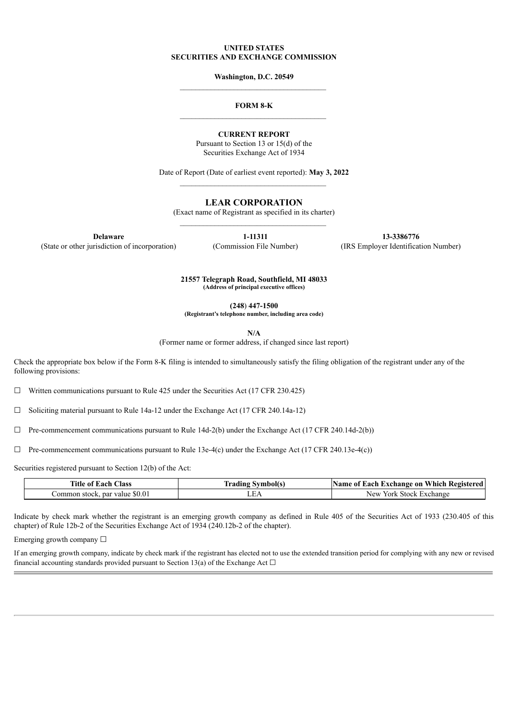#### **UNITED STATES SECURITIES AND EXCHANGE COMMISSION**

**Washington, D.C. 20549** \_\_\_\_\_\_\_\_\_\_\_\_\_\_\_\_\_\_\_\_\_\_\_\_\_\_\_\_\_\_\_\_\_\_\_\_\_\_

### **FORM 8-K** \_\_\_\_\_\_\_\_\_\_\_\_\_\_\_\_\_\_\_\_\_\_\_\_\_\_\_\_\_\_\_\_\_\_\_\_\_\_

#### **CURRENT REPORT**

Pursuant to Section 13 or 15(d) of the Securities Exchange Act of 1934

Date of Report (Date of earliest event reported): **May 3, 2022**

## **LEAR CORPORATION**

(Exact name of Registrant as specified in its charter)

(State or other jurisdiction of incorporation) (Commission File Number) (IRS Employer Identification Number)

**Delaware 1-11311 13-3386776**

**21557 Telegraph Road, Southfield, MI 48033 (Address of principal executive offices)**

**(248**) **447-1500**

**(Registrant's telephone number, including area code)**

**N/A**

(Former name or former address, if changed since last report)

Check the appropriate box below if the Form 8-K filing is intended to simultaneously satisfy the filing obligation of the registrant under any of the following provisions:

 $\Box$  Written communications pursuant to Rule 425 under the Securities Act (17 CFR 230.425)

 $\Box$  Soliciting material pursuant to Rule 14a-12 under the Exchange Act (17 CFR 240.14a-12)

 $\Box$  Pre-commencement communications pursuant to Rule 14d-2(b) under the Exchange Act (17 CFR 240.14d-2(b))

 $\Box$  Pre-commencement communications pursuant to Rule 13e-4(c) under the Exchange Act (17 CFR 240.13e-4(c))

Securities registered pursuant to Section 12(b) of the Act:

| <b>Title of Each Class</b>        | <b>Symbol</b> (s<br>lradıng | <b>Name of Each Exchange on Which Registered</b> |
|-----------------------------------|-----------------------------|--------------------------------------------------|
| par value \$0.01<br>Common stock, | பப                          | York Stock Exchange<br>New                       |

Indicate by check mark whether the registrant is an emerging growth company as defined in Rule 405 of the Securities Act of 1933 (230.405 of this chapter) of Rule 12b-2 of the Securities Exchange Act of 1934 (240.12b-2 of the chapter).

Emerging growth company  $\Box$ 

If an emerging growth company, indicate by check mark if the registrant has elected not to use the extended transition period for complying with any new or revised financial accounting standards provided pursuant to Section 13(a) of the Exchange Act  $\Box$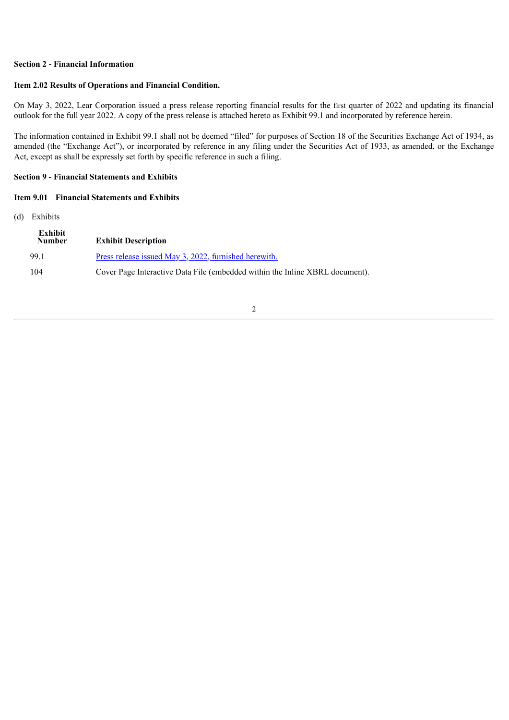### **Section 2 - Financial Information**

### **Item 2.02 Results of Operations and Financial Condition.**

On May 3, 2022, Lear Corporation issued a press release reporting financial results for the first quarter of 2022 and updating its financial outlook for the full year 2022. A copy of the press release is attached hereto as Exhibit 99.1 and incorporated by reference herein.

The information contained in Exhibit 99.1 shall not be deemed "filed" for purposes of Section 18 of the Securities Exchange Act of 1934, as amended (the "Exchange Act"), or incorporated by reference in any filing under the Securities Act of 1933, as amended, or the Exchange Act, except as shall be expressly set forth by specific reference in such a filing.

## **Section 9 - Financial Statements and Exhibits**

### **Item 9.01 Financial Statements and Exhibits**

### (d) Exhibits

| Exhibit<br><b>Number</b> | <b>Exhibit Description</b>                                                   |
|--------------------------|------------------------------------------------------------------------------|
| 991                      | <u>Press release issued May 3, 2022, furnished herewith.</u>                 |
| 104                      | Cover Page Interactive Data File (embedded within the Inline XBRL document). |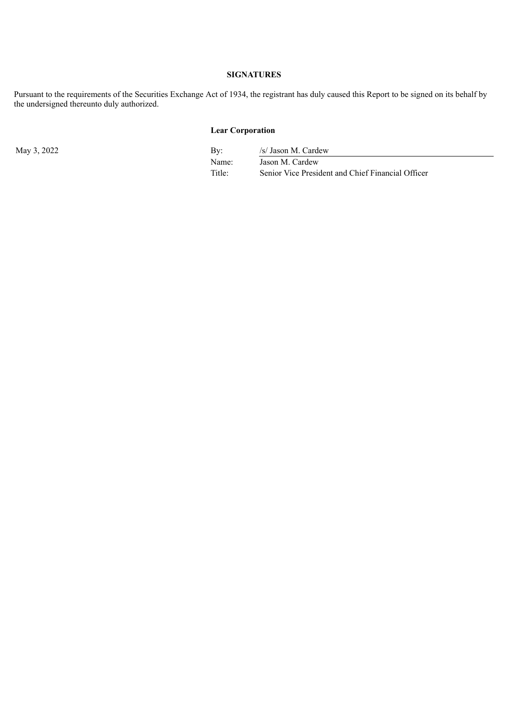### **SIGNATURES**

Pursuant to the requirements of the Securities Exchange Act of 1934, the registrant has duly caused this Report to be signed on its behalf by the undersigned thereunto duly authorized.

## **Lear Corporation**

May 3, 2022 By: /s/ Jason M. Cardew Name: Jason M. Cardew Title: Senior Vice President and Chief Financial Officer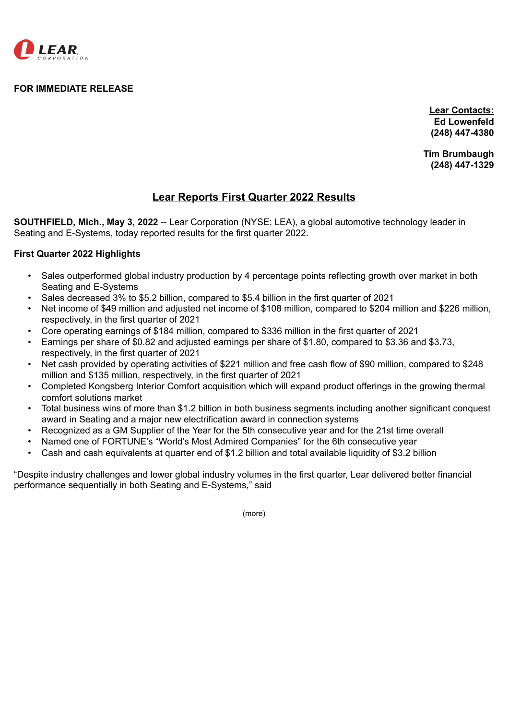<span id="page-3-0"></span>

# **FOR IMMEDIATE RELEASE**

**Lear Contacts: Ed Lowenfeld (248) 447-4380**

**Tim Brumbaugh (248) 447-1329**

# **Lear Reports First Quarter 2022 Results**

**SOUTHFIELD, Mich., May 3, 2022** -- Lear Corporation (NYSE: LEA), a global automotive technology leader in Seating and E-Systems, today reported results for the first quarter 2022.

# **First Quarter 2022 Highlights**

- Sales outperformed global industry production by 4 percentage points reflecting growth over market in both Seating and E-Systems
- Sales decreased 3% to \$5.2 billion, compared to \$5.4 billion in the first quarter of 2021
- Net income of \$49 million and adjusted net income of \$108 million, compared to \$204 million and \$226 million, respectively, in the first quarter of 2021
- Core operating earnings of \$184 million, compared to \$336 million in the first quarter of 2021
- Earnings per share of \$0.82 and adjusted earnings per share of \$1.80, compared to \$3.36 and \$3.73, respectively, in the first quarter of 2021
- Net cash provided by operating activities of \$221 million and free cash flow of \$90 million, compared to \$248 million and \$135 million, respectively, in the first quarter of 2021
- Completed Kongsberg Interior Comfort acquisition which will expand product offerings in the growing thermal comfort solutions market
- Total business wins of more than \$1.2 billion in both business segments including another significant conquest award in Seating and a major new electrification award in connection systems
- Recognized as a GM Supplier of the Year for the 5th consecutive year and for the 21st time overall
- Named one of FORTUNE's "World's Most Admired Companies" for the 6th consecutive year
- Cash and cash equivalents at quarter end of \$1.2 billion and total available liquidity of \$3.2 billion

"Despite industry challenges and lower global industry volumes in the first quarter, Lear delivered better financial performance sequentially in both Seating and E-Systems," said

(more)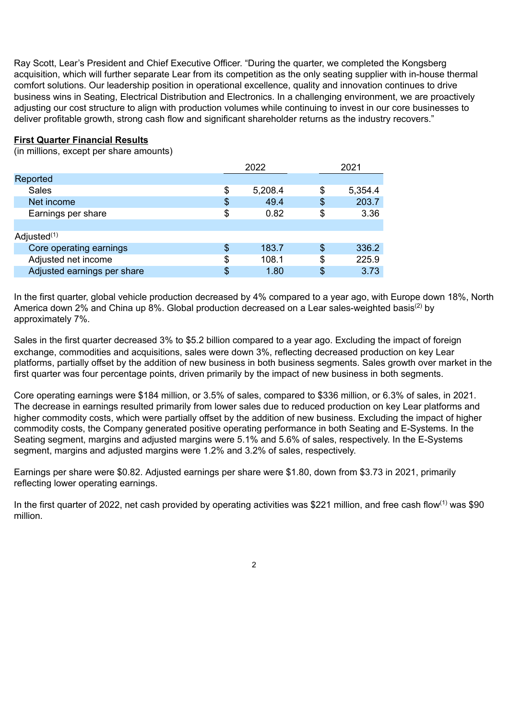Ray Scott, Lear's President and Chief Executive Officer. "During the quarter, we completed the Kongsberg acquisition, which will further separate Lear from its competition as the only seating supplier with in-house thermal comfort solutions. Our leadership position in operational excellence, quality and innovation continues to drive business wins in Seating, Electrical Distribution and Electronics. In a challenging environment, we are proactively adjusting our cost structure to align with production volumes while continuing to invest in our core businesses to deliver profitable growth, strong cash flow and significant shareholder returns as the industry recovers."

## **First Quarter Financial Results**

(in millions, except per share amounts)

|                             | 2022 |         | 2021          |
|-----------------------------|------|---------|---------------|
| Reported                    |      |         |               |
| <b>Sales</b>                | \$   | 5,208.4 | \$<br>5,354.4 |
| Net income                  | \$   | 49.4    | \$<br>203.7   |
| Earnings per share          | \$   | 0.82    | \$<br>3.36    |
|                             |      |         |               |
| Adjusted $(1)$              |      |         |               |
| Core operating earnings     | S    | 183.7   | \$<br>336.2   |
| Adjusted net income         | \$   | 108.1   | \$<br>225.9   |
| Adjusted earnings per share | \$   | 1.80    | \$<br>3.73    |

In the first quarter, global vehicle production decreased by 4% compared to a year ago, with Europe down 18%, North America down 2% and China up 8%. Global production decreased on a Lear sales-weighted basis<sup>(2)</sup> by approximately 7%.

Sales in the first quarter decreased 3% to \$5.2 billion compared to a year ago. Excluding the impact of foreign exchange, commodities and acquisitions, sales were down 3%, reflecting decreased production on key Lear platforms, partially offset by the addition of new business in both business segments. Sales growth over market in the first quarter was four percentage points, driven primarily by the impact of new business in both segments.

Core operating earnings were \$184 million, or 3.5% of sales, compared to \$336 million, or 6.3% of sales, in 2021. The decrease in earnings resulted primarily from lower sales due to reduced production on key Lear platforms and higher commodity costs, which were partially offset by the addition of new business. Excluding the impact of higher commodity costs, the Company generated positive operating performance in both Seating and E-Systems. In the Seating segment, margins and adjusted margins were 5.1% and 5.6% of sales, respectively. In the E-Systems segment, margins and adjusted margins were 1.2% and 3.2% of sales, respectively.

Earnings per share were \$0.82. Adjusted earnings per share were \$1.80, down from \$3.73 in 2021, primarily reflecting lower operating earnings.

In the first quarter of 2022, net cash provided by operating activities was \$221 million, and free cash flow $^{(1)}$  was \$90 million.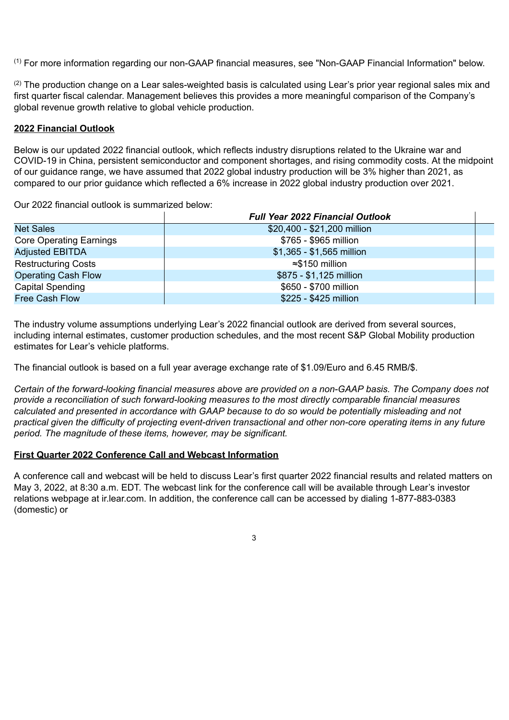$<sup>(1)</sup>$  For more information regarding our non-GAAP financial measures, see "Non-GAAP Financial Information" below.</sup>

 $(2)$  The production change on a Lear sales-weighted basis is calculated using Lear's prior year regional sales mix and first quarter fiscal calendar. Management believes this provides a more meaningful comparison of the Company's global revenue growth relative to global vehicle production.

## **2022 Financial Outlook**

Below is our updated 2022 financial outlook, which reflects industry disruptions related to the Ukraine war and COVID-19 in China, persistent semiconductor and component shortages, and rising commodity costs. At the midpoint of our guidance range, we have assumed that 2022 global industry production will be 3% higher than 2021, as compared to our prior guidance which reflected a 6% increase in 2022 global industry production over 2021.

Our 2022 financial outlook is summarized below:

|                                | <b>Full Year 2022 Financial Outlook</b> |  |
|--------------------------------|-----------------------------------------|--|
| <b>Net Sales</b>               | \$20,400 - \$21,200 million             |  |
| <b>Core Operating Earnings</b> | \$765 - \$965 million                   |  |
| <b>Adjusted EBITDA</b>         | \$1,365 - \$1,565 million               |  |
| <b>Restructuring Costs</b>     | $\approx$ \$150 million                 |  |
| <b>Operating Cash Flow</b>     | \$875 - \$1,125 million                 |  |
| <b>Capital Spending</b>        | \$650 - \$700 million                   |  |
| <b>Free Cash Flow</b>          | \$225 - \$425 million                   |  |

The industry volume assumptions underlying Lear's 2022 financial outlook are derived from several sources, including internal estimates, customer production schedules, and the most recent S&P Global Mobility production estimates for Lear's vehicle platforms.

The financial outlook is based on a full year average exchange rate of \$1.09/Euro and 6.45 RMB/\$.

*Certain of the forward-looking financial measures above are provided on a non-GAAP basis. The Company does not provide a reconciliation of such forward-looking measures to the most directly comparable financial measures calculated and presented in accordance with GAAP because to do so would be potentially misleading and not practical given the difficulty of projecting event-driven transactional and other non-core operating items in any future period. The magnitude of these items, however, may be significant.*

## **First Quarter 2022 Conference Call and Webcast Information**

A conference call and webcast will be held to discuss Lear's first quarter 2022 financial results and related matters on May 3, 2022, at 8:30 a.m. EDT. The webcast link for the conference call will be available through Lear's investor relations webpage at ir.lear.com. In addition, the conference call can be accessed by dialing 1-877-883-0383 (domestic) or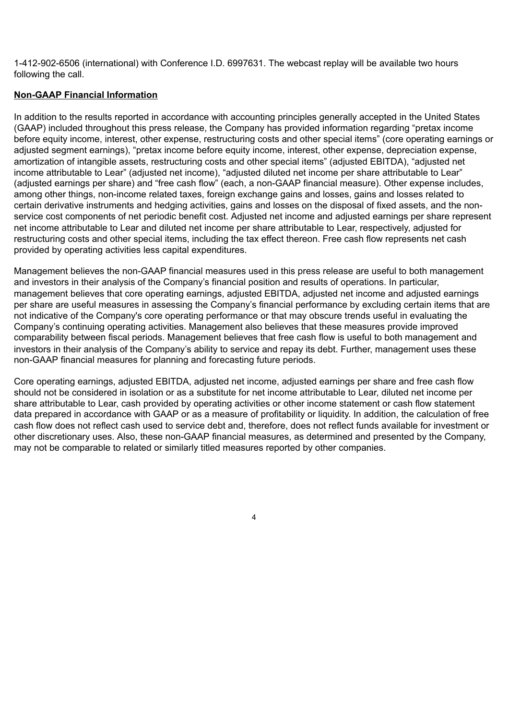1-412-902-6506 (international) with Conference I.D. 6997631. The webcast replay will be available two hours following the call.

# **Non-GAAP Financial Information**

In addition to the results reported in accordance with accounting principles generally accepted in the United States (GAAP) included throughout this press release, the Company has provided information regarding "pretax income before equity income, interest, other expense, restructuring costs and other special items" (core operating earnings or adjusted segment earnings), "pretax income before equity income, interest, other expense, depreciation expense, amortization of intangible assets, restructuring costs and other special items" (adjusted EBITDA), "adjusted net income attributable to Lear" (adjusted net income), "adjusted diluted net income per share attributable to Lear" (adjusted earnings per share) and "free cash flow" (each, a non-GAAP financial measure). Other expense includes, among other things, non-income related taxes, foreign exchange gains and losses, gains and losses related to certain derivative instruments and hedging activities, gains and losses on the disposal of fixed assets, and the nonservice cost components of net periodic benefit cost. Adjusted net income and adjusted earnings per share represent net income attributable to Lear and diluted net income per share attributable to Lear, respectively, adjusted for restructuring costs and other special items, including the tax effect thereon. Free cash flow represents net cash provided by operating activities less capital expenditures.

Management believes the non-GAAP financial measures used in this press release are useful to both management and investors in their analysis of the Company's financial position and results of operations. In particular, management believes that core operating earnings, adjusted EBITDA, adjusted net income and adjusted earnings per share are useful measures in assessing the Company's financial performance by excluding certain items that are not indicative of the Company's core operating performance or that may obscure trends useful in evaluating the Company's continuing operating activities. Management also believes that these measures provide improved comparability between fiscal periods. Management believes that free cash flow is useful to both management and investors in their analysis of the Company's ability to service and repay its debt. Further, management uses these non-GAAP financial measures for planning and forecasting future periods.

Core operating earnings, adjusted EBITDA, adjusted net income, adjusted earnings per share and free cash flow should not be considered in isolation or as a substitute for net income attributable to Lear, diluted net income per share attributable to Lear, cash provided by operating activities or other income statement or cash flow statement data prepared in accordance with GAAP or as a measure of profitability or liquidity. In addition, the calculation of free cash flow does not reflect cash used to service debt and, therefore, does not reflect funds available for investment or other discretionary uses. Also, these non-GAAP financial measures, as determined and presented by the Company, may not be comparable to related or similarly titled measures reported by other companies.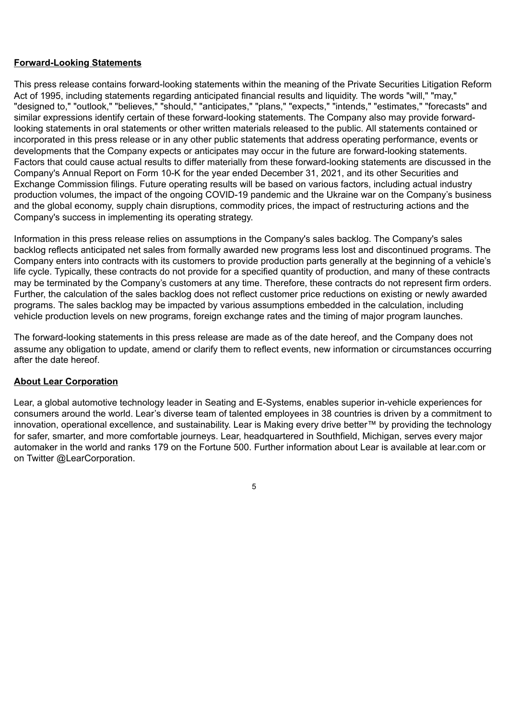## **Forward-Looking Statements**

This press release contains forward-looking statements within the meaning of the Private Securities Litigation Reform Act of 1995, including statements regarding anticipated financial results and liquidity. The words "will," "may," "designed to," "outlook," "believes," "should," "anticipates," "plans," "expects," "intends," "estimates," "forecasts" and similar expressions identify certain of these forward-looking statements. The Company also may provide forwardlooking statements in oral statements or other written materials released to the public. All statements contained or incorporated in this press release or in any other public statements that address operating performance, events or developments that the Company expects or anticipates may occur in the future are forward-looking statements. Factors that could cause actual results to differ materially from these forward-looking statements are discussed in the Company's Annual Report on Form 10-K for the year ended December 31, 2021, and its other Securities and Exchange Commission filings. Future operating results will be based on various factors, including actual industry production volumes, the impact of the ongoing COVID-19 pandemic and the Ukraine war on the Company's business and the global economy, supply chain disruptions, commodity prices, the impact of restructuring actions and the Company's success in implementing its operating strategy.

Information in this press release relies on assumptions in the Company's sales backlog. The Company's sales backlog reflects anticipated net sales from formally awarded new programs less lost and discontinued programs. The Company enters into contracts with its customers to provide production parts generally at the beginning of a vehicle's life cycle. Typically, these contracts do not provide for a specified quantity of production, and many of these contracts may be terminated by the Company's customers at any time. Therefore, these contracts do not represent firm orders. Further, the calculation of the sales backlog does not reflect customer price reductions on existing or newly awarded programs. The sales backlog may be impacted by various assumptions embedded in the calculation, including vehicle production levels on new programs, foreign exchange rates and the timing of major program launches.

The forward-looking statements in this press release are made as of the date hereof, and the Company does not assume any obligation to update, amend or clarify them to reflect events, new information or circumstances occurring after the date hereof.

## **About Lear Corporation**

Lear, a global automotive technology leader in Seating and E-Systems, enables superior in-vehicle experiences for consumers around the world. Lear's diverse team of talented employees in 38 countries is driven by a commitment to innovation, operational excellence, and sustainability. Lear is Making every drive better™ by providing the technology for safer, smarter, and more comfortable journeys. Lear, headquartered in Southfield, Michigan, serves every major automaker in the world and ranks 179 on the Fortune 500. Further information about Lear is available at lear.com or on Twitter @LearCorporation.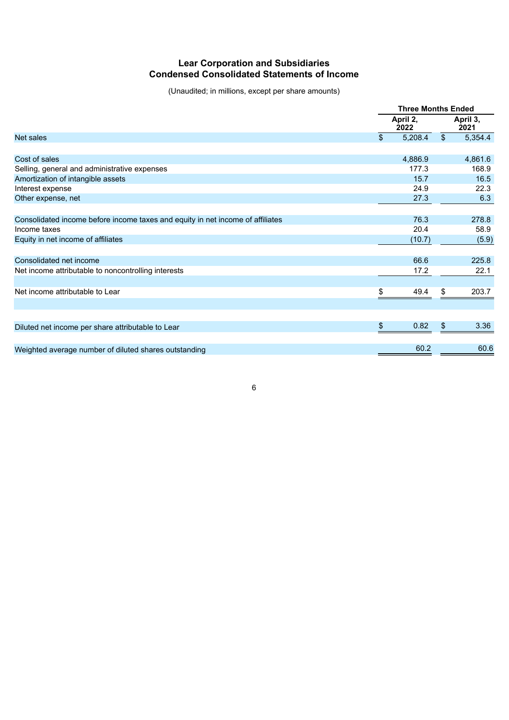# **Lear Corporation and Subsidiaries Condensed Consolidated Statements of Income**

(Unaudited; in millions, except per share amounts)

|                                                                                | <b>Three Months Ended</b> |                  |              |                  |
|--------------------------------------------------------------------------------|---------------------------|------------------|--------------|------------------|
|                                                                                |                           | April 2,<br>2022 |              | April 3,<br>2021 |
| Net sales                                                                      | \$                        | 5,208.4          | $\mathbb{S}$ | 5,354.4          |
|                                                                                |                           |                  |              |                  |
| Cost of sales                                                                  |                           | 4,886.9          |              | 4,861.6          |
| Selling, general and administrative expenses                                   |                           | 177.3            |              | 168.9            |
| Amortization of intangible assets                                              |                           | 15.7             |              | 16.5             |
| Interest expense                                                               |                           | 24.9             |              | 22.3             |
| Other expense, net                                                             |                           | 27.3             |              | 6.3              |
|                                                                                |                           |                  |              |                  |
| Consolidated income before income taxes and equity in net income of affiliates |                           | 76.3             |              | 278.8            |
| Income taxes                                                                   |                           | 20.4             |              | 58.9             |
| Equity in net income of affiliates                                             |                           | (10.7)           |              | (5.9)            |
|                                                                                |                           |                  |              |                  |
| Consolidated net income                                                        |                           | 66.6             |              | 225.8            |
| Net income attributable to noncontrolling interests                            |                           | 17.2             |              | 22.1             |
|                                                                                |                           |                  |              |                  |
| Net income attributable to Lear                                                | \$                        | 49.4             | S.           | 203.7            |
|                                                                                |                           |                  |              |                  |
|                                                                                |                           |                  |              |                  |
| Diluted net income per share attributable to Lear                              | \$                        | 0.82             | \$           | 3.36             |
|                                                                                |                           |                  |              |                  |
| Weighted average number of diluted shares outstanding                          |                           | 60.2             |              | 60.6             |
|                                                                                |                           |                  |              |                  |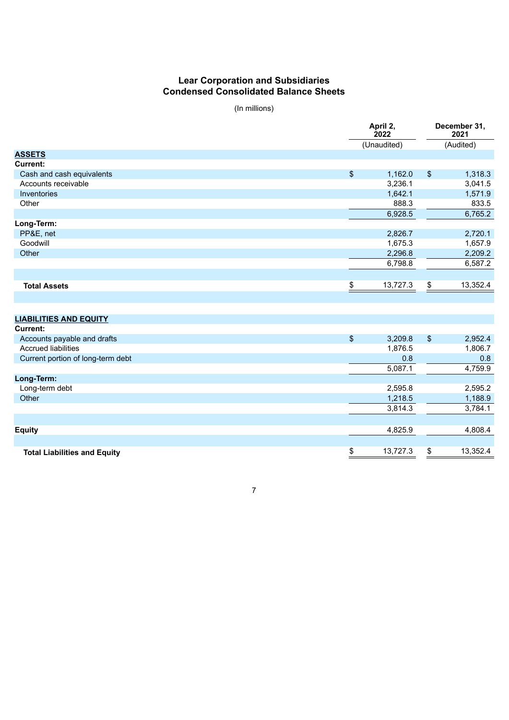# **Lear Corporation and Subsidiaries Condensed Consolidated Balance Sheets**

(In millions)

| (Unaudited)<br>(Audited)<br>$\,$<br>$\frac{1}{2}$<br>Cash and cash equivalents<br>1,162.0<br>1,318.3<br>Accounts receivable<br>3,236.1<br>3,041.5<br>1,642.1<br>Inventories<br>1,571.9<br>888.3<br>833.5<br>Other<br>6,765.2<br>6,928.5<br>Long-Term:<br>PP&E, net<br>2,720.1<br>2,826.7<br>Goodwill<br>1,675.3<br>1,657.9<br>Other<br>2,296.8<br>2,209.2<br>6,798.8<br>6,587.2<br>13,352.4<br>\$<br>13,727.3<br>\$<br><b>Total Assets</b><br><b>LIABILITIES AND EQUITY</b><br><b>Current:</b><br>$\boldsymbol{\mathsf{S}}$<br>$\boldsymbol{\mathsf{S}}$<br>Accounts payable and drafts<br>3,209.8<br>2,952.4<br><b>Accrued liabilities</b><br>1,876.5<br>1,806.7<br>Current portion of long-term debt<br>0.8<br>0.8<br>5,087.1<br>4,759.9<br>Long-Term:<br>Long-term debt<br>2,595.8<br>2,595.2<br>Other<br>1,218.5<br>1,188.9<br>3,814.3<br>3,784.1<br>4,808.4<br>4,825.9<br>13,352.4<br>13,727.3<br>$\frac{1}{2}$<br>\$<br><b>Total Liabilities and Equity</b> |                 | April 2,<br>2022 |  | December 31,<br>2021 |  |
|-------------------------------------------------------------------------------------------------------------------------------------------------------------------------------------------------------------------------------------------------------------------------------------------------------------------------------------------------------------------------------------------------------------------------------------------------------------------------------------------------------------------------------------------------------------------------------------------------------------------------------------------------------------------------------------------------------------------------------------------------------------------------------------------------------------------------------------------------------------------------------------------------------------------------------------------------------------------|-----------------|------------------|--|----------------------|--|
|                                                                                                                                                                                                                                                                                                                                                                                                                                                                                                                                                                                                                                                                                                                                                                                                                                                                                                                                                                   |                 |                  |  |                      |  |
|                                                                                                                                                                                                                                                                                                                                                                                                                                                                                                                                                                                                                                                                                                                                                                                                                                                                                                                                                                   | <b>ASSETS</b>   |                  |  |                      |  |
|                                                                                                                                                                                                                                                                                                                                                                                                                                                                                                                                                                                                                                                                                                                                                                                                                                                                                                                                                                   | <b>Current:</b> |                  |  |                      |  |
|                                                                                                                                                                                                                                                                                                                                                                                                                                                                                                                                                                                                                                                                                                                                                                                                                                                                                                                                                                   |                 |                  |  |                      |  |
|                                                                                                                                                                                                                                                                                                                                                                                                                                                                                                                                                                                                                                                                                                                                                                                                                                                                                                                                                                   |                 |                  |  |                      |  |
|                                                                                                                                                                                                                                                                                                                                                                                                                                                                                                                                                                                                                                                                                                                                                                                                                                                                                                                                                                   |                 |                  |  |                      |  |
|                                                                                                                                                                                                                                                                                                                                                                                                                                                                                                                                                                                                                                                                                                                                                                                                                                                                                                                                                                   |                 |                  |  |                      |  |
|                                                                                                                                                                                                                                                                                                                                                                                                                                                                                                                                                                                                                                                                                                                                                                                                                                                                                                                                                                   |                 |                  |  |                      |  |
|                                                                                                                                                                                                                                                                                                                                                                                                                                                                                                                                                                                                                                                                                                                                                                                                                                                                                                                                                                   |                 |                  |  |                      |  |
|                                                                                                                                                                                                                                                                                                                                                                                                                                                                                                                                                                                                                                                                                                                                                                                                                                                                                                                                                                   |                 |                  |  |                      |  |
|                                                                                                                                                                                                                                                                                                                                                                                                                                                                                                                                                                                                                                                                                                                                                                                                                                                                                                                                                                   |                 |                  |  |                      |  |
|                                                                                                                                                                                                                                                                                                                                                                                                                                                                                                                                                                                                                                                                                                                                                                                                                                                                                                                                                                   |                 |                  |  |                      |  |
|                                                                                                                                                                                                                                                                                                                                                                                                                                                                                                                                                                                                                                                                                                                                                                                                                                                                                                                                                                   |                 |                  |  |                      |  |
|                                                                                                                                                                                                                                                                                                                                                                                                                                                                                                                                                                                                                                                                                                                                                                                                                                                                                                                                                                   |                 |                  |  |                      |  |
|                                                                                                                                                                                                                                                                                                                                                                                                                                                                                                                                                                                                                                                                                                                                                                                                                                                                                                                                                                   |                 |                  |  |                      |  |
|                                                                                                                                                                                                                                                                                                                                                                                                                                                                                                                                                                                                                                                                                                                                                                                                                                                                                                                                                                   |                 |                  |  |                      |  |
|                                                                                                                                                                                                                                                                                                                                                                                                                                                                                                                                                                                                                                                                                                                                                                                                                                                                                                                                                                   |                 |                  |  |                      |  |
|                                                                                                                                                                                                                                                                                                                                                                                                                                                                                                                                                                                                                                                                                                                                                                                                                                                                                                                                                                   |                 |                  |  |                      |  |
|                                                                                                                                                                                                                                                                                                                                                                                                                                                                                                                                                                                                                                                                                                                                                                                                                                                                                                                                                                   |                 |                  |  |                      |  |
|                                                                                                                                                                                                                                                                                                                                                                                                                                                                                                                                                                                                                                                                                                                                                                                                                                                                                                                                                                   |                 |                  |  |                      |  |
|                                                                                                                                                                                                                                                                                                                                                                                                                                                                                                                                                                                                                                                                                                                                                                                                                                                                                                                                                                   |                 |                  |  |                      |  |
|                                                                                                                                                                                                                                                                                                                                                                                                                                                                                                                                                                                                                                                                                                                                                                                                                                                                                                                                                                   |                 |                  |  |                      |  |
|                                                                                                                                                                                                                                                                                                                                                                                                                                                                                                                                                                                                                                                                                                                                                                                                                                                                                                                                                                   |                 |                  |  |                      |  |
|                                                                                                                                                                                                                                                                                                                                                                                                                                                                                                                                                                                                                                                                                                                                                                                                                                                                                                                                                                   |                 |                  |  |                      |  |
|                                                                                                                                                                                                                                                                                                                                                                                                                                                                                                                                                                                                                                                                                                                                                                                                                                                                                                                                                                   |                 |                  |  |                      |  |
|                                                                                                                                                                                                                                                                                                                                                                                                                                                                                                                                                                                                                                                                                                                                                                                                                                                                                                                                                                   |                 |                  |  |                      |  |
|                                                                                                                                                                                                                                                                                                                                                                                                                                                                                                                                                                                                                                                                                                                                                                                                                                                                                                                                                                   |                 |                  |  |                      |  |
|                                                                                                                                                                                                                                                                                                                                                                                                                                                                                                                                                                                                                                                                                                                                                                                                                                                                                                                                                                   | <b>Equity</b>   |                  |  |                      |  |
|                                                                                                                                                                                                                                                                                                                                                                                                                                                                                                                                                                                                                                                                                                                                                                                                                                                                                                                                                                   |                 |                  |  |                      |  |
|                                                                                                                                                                                                                                                                                                                                                                                                                                                                                                                                                                                                                                                                                                                                                                                                                                                                                                                                                                   |                 |                  |  |                      |  |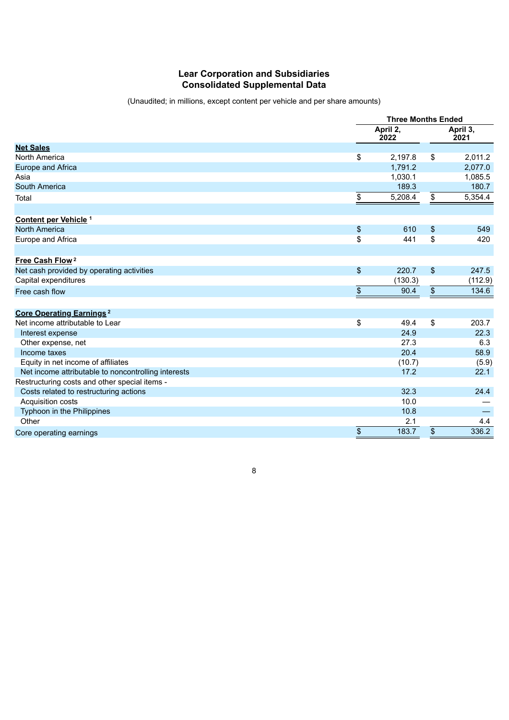## **Lear Corporation and Subsidiaries Consolidated Supplemental Data**

(Unaudited; in millions, except content per vehicle and per share amounts)

|                                                     | <b>Three Months Ended</b> |    |                  |
|-----------------------------------------------------|---------------------------|----|------------------|
|                                                     | April 2,<br>2022          |    | April 3,<br>2021 |
| <b>Net Sales</b>                                    |                           |    |                  |
| North America                                       | \$<br>2,197.8             | \$ | 2,011.2          |
| Europe and Africa                                   | 1,791.2                   |    | 2,077.0          |
| Asia                                                | 1,030.1                   |    | 1,085.5          |
| South America                                       | 189.3                     |    | 180.7            |
| Total                                               | \$<br>5,208.4             | \$ | 5,354.4          |
| Content per Vehicle <sup>1</sup>                    |                           |    |                  |
| <b>North America</b>                                | \$<br>610                 | \$ | 549              |
| Europe and Africa                                   | \$<br>441                 | \$ | 420              |
| Free Cash Flow <sup>2</sup>                         |                           |    |                  |
| Net cash provided by operating activities           | \$<br>220.7               | \$ | 247.5            |
| Capital expenditures                                | (130.3)                   |    | (112.9)          |
| Free cash flow                                      | \$<br>90.4                | \$ | 134.6            |
| <b>Core Operating Earnings<sup>2</sup></b>          |                           |    |                  |
| Net income attributable to Lear                     | \$<br>49.4                | \$ | 203.7            |
| Interest expense                                    | 24.9                      |    | 22.3             |
| Other expense, net                                  | 27.3                      |    | 6.3              |
| Income taxes                                        | 20.4                      |    | 58.9             |
| Equity in net income of affiliates                  | (10.7)                    |    | (5.9)            |
| Net income attributable to noncontrolling interests | 17.2                      |    | 22.1             |
| Restructuring costs and other special items -       |                           |    |                  |
| Costs related to restructuring actions              | 32.3                      |    | 24.4             |
| Acquisition costs                                   | 10.0                      |    |                  |
| Typhoon in the Philippines                          | 10.8                      |    |                  |
| Other                                               | 2.1                       |    | 4.4              |
| Core operating earnings                             | \$<br>183.7               | \$ | 336.2            |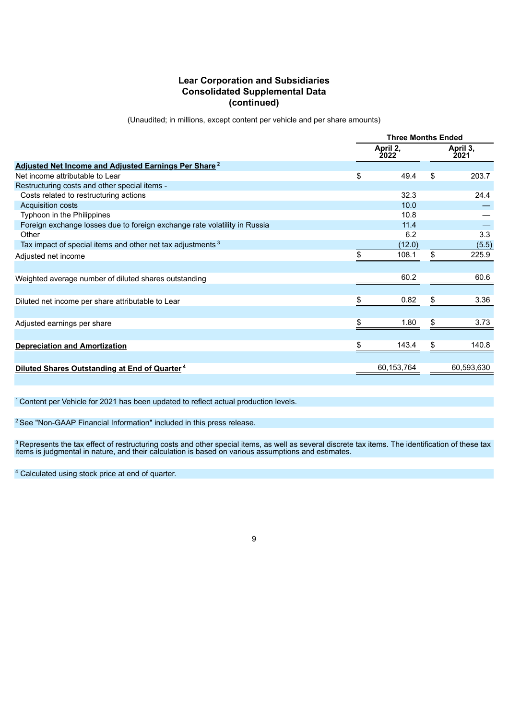## **Lear Corporation and Subsidiaries Consolidated Supplemental Data (continued)**

(Unaudited; in millions, except content per vehicle and per share amounts)

|                                                                           |     | <b>Three Months Ended</b> |     |                  |
|---------------------------------------------------------------------------|-----|---------------------------|-----|------------------|
|                                                                           |     | April 2,<br>2022          |     | April 3,<br>2021 |
| Adjusted Net Income and Adjusted Earnings Per Share <sup>2</sup>          |     |                           |     |                  |
| Net income attributable to Lear                                           | \$  | 49.4                      | \$  | 203.7            |
| Restructuring costs and other special items -                             |     |                           |     |                  |
| Costs related to restructuring actions                                    |     | 32.3                      |     | 24.4             |
| <b>Acquisition costs</b>                                                  |     | 10.0                      |     |                  |
| Typhoon in the Philippines                                                |     | 10.8                      |     |                  |
| Foreign exchange losses due to foreign exchange rate volatility in Russia |     | 11.4                      |     |                  |
| Other                                                                     |     | 6.2                       |     | 3.3              |
| Tax impact of special items and other net tax adjustments <sup>3</sup>    |     | (12.0)                    |     | (5.5)            |
| Adjusted net income                                                       | \$  | 108.1                     | \$  | 225.9            |
|                                                                           |     |                           |     |                  |
| Weighted average number of diluted shares outstanding                     |     | 60.2                      |     | 60.6             |
|                                                                           |     |                           |     |                  |
| Diluted net income per share attributable to Lear                         | \$. | 0.82                      | \$. | 3.36             |
|                                                                           |     |                           |     |                  |
| Adjusted earnings per share                                               | S   | 1.80                      | S   | 3.73             |
|                                                                           |     |                           |     |                  |
| <b>Depreciation and Amortization</b>                                      | S   | 143.4                     | \$  | 140.8            |
|                                                                           |     |                           |     |                  |
| Diluted Shares Outstanding at End of Quarter <sup>4</sup>                 |     | 60,153,764                |     | 60,593,630       |
|                                                                           |     |                           |     |                  |

 $1$  Content per Vehicle for 2021 has been updated to reflect actual production levels.

 $2$  See "Non-GAAP Financial Information" included in this press release.

Represents the tax effect of restructuring costs and other special items, as well as several discrete tax items. The identification of these tax items is judgmental in nature, and their calculation is based on various assumptions and estimates. 3

<sup>4</sup> Calculated using stock price at end of quarter.